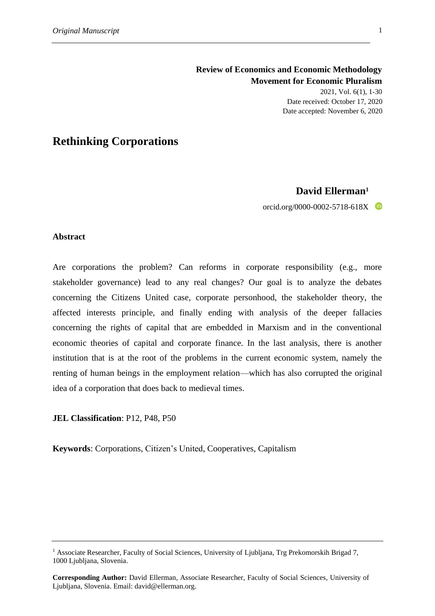# **Review of Economics and Economic Methodology Movement for Economic Pluralism**

2021, Vol. 6(1), 1-30 Date received: October 17, 2020 Date accepted: November 6, 2020

# **Rethinking Corporations**

# **David Ellerman<sup>1</sup>**

orcid.org/0000-0002-5718-618X

# **Abstract**

Are corporations the problem? Can reforms in corporate responsibility (e.g., more stakeholder governance) lead to any real changes? Our goal is to analyze the debates concerning the Citizens United case, corporate personhood, the stakeholder theory, the affected interests principle, and finally ending with analysis of the deeper fallacies concerning the rights of capital that are embedded in Marxism and in the conventional economic theories of capital and corporate finance. In the last analysis, there is another institution that is at the root of the problems in the current economic system, namely the renting of human beings in the employment relation—which has also corrupted the original idea of a corporation that does back to medieval times.

**JEL Classification**: P12, P48, P50

**Keywords**: Corporations, Citizen's United, Cooperatives, Capitalism

<sup>&</sup>lt;sup>1</sup> Associate Researcher, Faculty of Social Sciences, University of Ljubljana, Trg Prekomorskih Brigad 7, 1000 Ljubljana, Slovenia.

**Corresponding Author:** David Ellerman, Associate Researcher, Faculty of Social Sciences, University of Ljubljana, Slovenia. Email: david@ellerman.org.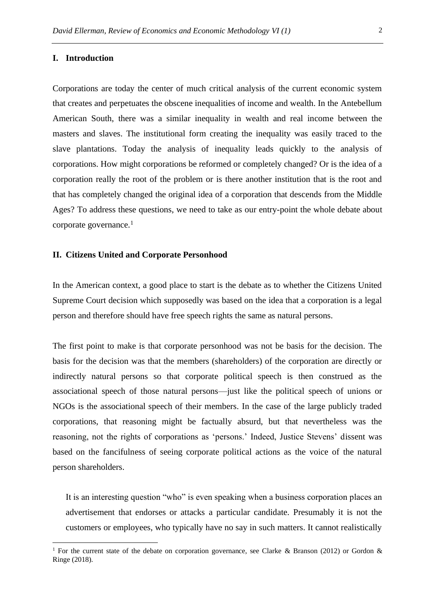#### **I. Introduction**

Corporations are today the center of much critical analysis of the current economic system that creates and perpetuates the obscene inequalities of income and wealth. In the Antebellum American South, there was a similar inequality in wealth and real income between the masters and slaves. The institutional form creating the inequality was easily traced to the slave plantations. Today the analysis of inequality leads quickly to the analysis of corporations. How might corporations be reformed or completely changed? Or is the idea of a corporation really the root of the problem or is there another institution that is the root and that has completely changed the original idea of a corporation that descends from the Middle Ages? To address these questions, we need to take as our entry-point the whole debate about corporate governance.<sup>1</sup>

### **II. Citizens United and Corporate Personhood**

In the American context, a good place to start is the debate as to whether the Citizens United Supreme Court decision which supposedly was based on the idea that a corporation is a legal person and therefore should have free speech rights the same as natural persons.

The first point to make is that corporate personhood was not be basis for the decision. The basis for the decision was that the members (shareholders) of the corporation are directly or indirectly natural persons so that corporate political speech is then construed as the associational speech of those natural persons—just like the political speech of unions or NGOs is the associational speech of their members. In the case of the large publicly traded corporations, that reasoning might be factually absurd, but that nevertheless was the reasoning, not the rights of corporations as 'persons.' Indeed, Justice Stevens' dissent was based on the fancifulness of seeing corporate political actions as the voice of the natural person shareholders.

It is an interesting question "who" is even speaking when a business corporation places an advertisement that endorses or attacks a particular candidate. Presumably it is not the customers or employees, who typically have no say in such matters. It cannot realistically

<sup>&</sup>lt;sup>1</sup> For the current state of the debate on corporation governance, see Clarke & Branson (2012) or Gordon & Ringe (2018).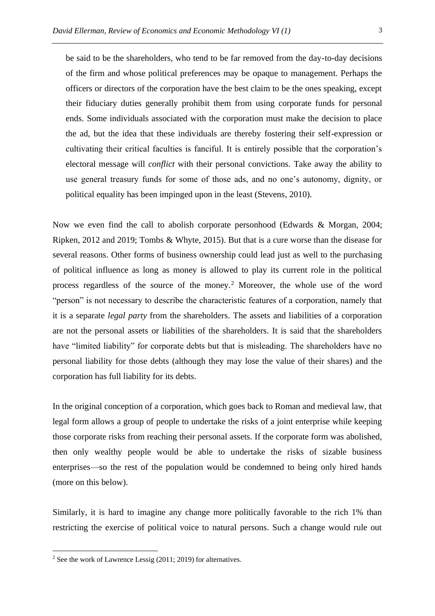be said to be the shareholders, who tend to be far removed from the day-to-day decisions of the firm and whose political preferences may be opaque to management. Perhaps the officers or directors of the corporation have the best claim to be the ones speaking, except their fiduciary duties generally prohibit them from using corporate funds for personal ends. Some individuals associated with the corporation must make the decision to place the ad, but the idea that these individuals are thereby fostering their self-expression or cultivating their critical faculties is fanciful. It is entirely possible that the corporation's electoral message will *conflict* with their personal convictions. Take away the ability to use general treasury funds for some of those ads, and no one's autonomy, dignity, or political equality has been impinged upon in the least (Stevens, 2010).

Now we even find the call to abolish corporate personhood (Edwards & Morgan, 2004; Ripken, 2012 and 2019; Tombs & Whyte, 2015). But that is a cure worse than the disease for several reasons. Other forms of business ownership could lead just as well to the purchasing of political influence as long as money is allowed to play its current role in the political process regardless of the source of the money.<sup>2</sup> Moreover, the whole use of the word "person" is not necessary to describe the characteristic features of a corporation, namely that it is a separate *legal party* from the shareholders. The assets and liabilities of a corporation are not the personal assets or liabilities of the shareholders. It is said that the shareholders have "limited liability" for corporate debts but that is misleading. The shareholders have no personal liability for those debts (although they may lose the value of their shares) and the corporation has full liability for its debts.

In the original conception of a corporation, which goes back to Roman and medieval law, that legal form allows a group of people to undertake the risks of a joint enterprise while keeping those corporate risks from reaching their personal assets. If the corporate form was abolished, then only wealthy people would be able to undertake the risks of sizable business enterprises—so the rest of the population would be condemned to being only hired hands (more on this below).

Similarly, it is hard to imagine any change more politically favorable to the rich 1% than restricting the exercise of political voice to natural persons. Such a change would rule out

<sup>&</sup>lt;sup>2</sup> See the work of Lawrence Lessig  $(2011: 2019)$  for alternatives.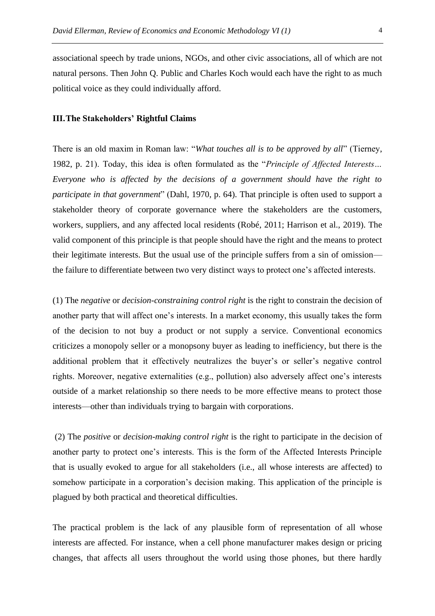associational speech by trade unions, NGOs, and other civic associations, all of which are not natural persons. Then John Q. Public and Charles Koch would each have the right to as much political voice as they could individually afford.

### **III.The Stakeholders' Rightful Claims**

There is an old maxim in Roman law: "*What touches all is to be approved by all*" (Tierney, 1982, p. 21). Today, this idea is often formulated as the "*Principle of Affected Interests… Everyone who is affected by the decisions of a government should have the right to participate in that government*" (Dahl, 1970, p. 64). That principle is often used to support a stakeholder theory of corporate governance where the stakeholders are the customers, workers, suppliers, and any affected local residents (Robé, 2011; Harrison et al., 2019). The valid component of this principle is that people should have the right and the means to protect their legitimate interests. But the usual use of the principle suffers from a sin of omission the failure to differentiate between two very distinct ways to protect one's affected interests.

(1) The *negative* or *decision-constraining control right* is the right to constrain the decision of another party that will affect one's interests. In a market economy, this usually takes the form of the decision to not buy a product or not supply a service. Conventional economics criticizes a monopoly seller or a monopsony buyer as leading to inefficiency, but there is the additional problem that it effectively neutralizes the buyer's or seller's negative control rights. Moreover, negative externalities (e.g., pollution) also adversely affect one's interests outside of a market relationship so there needs to be more effective means to protect those interests—other than individuals trying to bargain with corporations.

(2) The *positive* or *decision-making control right* is the right to participate in the decision of another party to protect one's interests. This is the form of the Affected Interests Principle that is usually evoked to argue for all stakeholders (i.e., all whose interests are affected) to somehow participate in a corporation's decision making. This application of the principle is plagued by both practical and theoretical difficulties.

The practical problem is the lack of any plausible form of representation of all whose interests are affected. For instance, when a cell phone manufacturer makes design or pricing changes, that affects all users throughout the world using those phones, but there hardly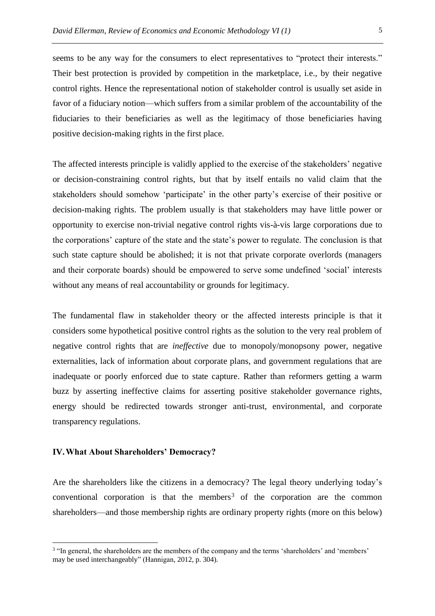seems to be any way for the consumers to elect representatives to "protect their interests." Their best protection is provided by competition in the marketplace, i.e., by their negative control rights. Hence the representational notion of stakeholder control is usually set aside in favor of a fiduciary notion—which suffers from a similar problem of the accountability of the fiduciaries to their beneficiaries as well as the legitimacy of those beneficiaries having positive decision-making rights in the first place.

The affected interests principle is validly applied to the exercise of the stakeholders' negative or decision-constraining control rights, but that by itself entails no valid claim that the stakeholders should somehow 'participate' in the other party's exercise of their positive or decision-making rights. The problem usually is that stakeholders may have little power or opportunity to exercise non-trivial negative control rights vis-à-vis large corporations due to the corporations' capture of the state and the state's power to regulate. The conclusion is that such state capture should be abolished; it is not that private corporate overlords (managers and their corporate boards) should be empowered to serve some undefined 'social' interests without any means of real accountability or grounds for legitimacy.

The fundamental flaw in stakeholder theory or the affected interests principle is that it considers some hypothetical positive control rights as the solution to the very real problem of negative control rights that are *ineffective* due to monopoly/monopsony power, negative externalities, lack of information about corporate plans, and government regulations that are inadequate or poorly enforced due to state capture. Rather than reformers getting a warm buzz by asserting ineffective claims for asserting positive stakeholder governance rights, energy should be redirected towards stronger anti-trust, environmental, and corporate transparency regulations.

### **IV.What About Shareholders' Democracy?**

Are the shareholders like the citizens in a democracy? The legal theory underlying today's conventional corporation is that the members<sup>3</sup> of the corporation are the common shareholders—and those membership rights are ordinary property rights (more on this below)

<sup>&</sup>lt;sup>3</sup> "In general, the shareholders are the members of the company and the terms 'shareholders' and 'members' may be used interchangeably" (Hannigan, 2012, p. 304).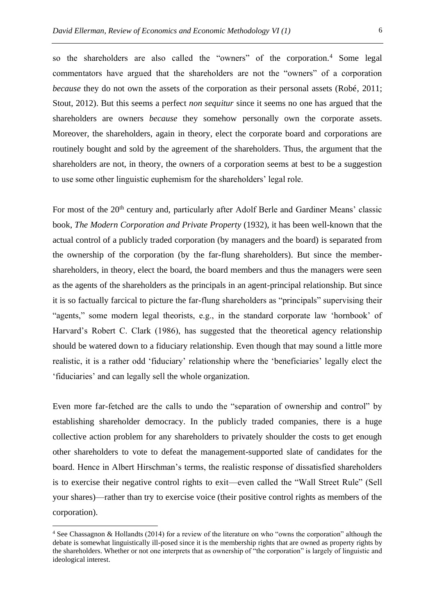so the shareholders are also called the "owners" of the corporation.<sup>4</sup> Some legal commentators have argued that the shareholders are not the "owners" of a corporation *because* they do not own the assets of the corporation as their personal assets (Robé, 2011; Stout, 2012). But this seems a perfect *non sequitur* since it seems no one has argued that the shareholders are owners *because* they somehow personally own the corporate assets. Moreover, the shareholders, again in theory, elect the corporate board and corporations are routinely bought and sold by the agreement of the shareholders. Thus, the argument that the shareholders are not, in theory, the owners of a corporation seems at best to be a suggestion to use some other linguistic euphemism for the shareholders' legal role.

For most of the 20<sup>th</sup> century and, particularly after Adolf Berle and Gardiner Means' classic book, *The Modern Corporation and Private Property* (1932), it has been well-known that the actual control of a publicly traded corporation (by managers and the board) is separated from the ownership of the corporation (by the far-flung shareholders). But since the membershareholders, in theory, elect the board, the board members and thus the managers were seen as the agents of the shareholders as the principals in an agent-principal relationship. But since it is so factually farcical to picture the far-flung shareholders as "principals" supervising their "agents," some modern legal theorists, e.g., in the standard corporate law 'hornbook' of Harvard's Robert C. Clark (1986), has suggested that the theoretical agency relationship should be watered down to a fiduciary relationship. Even though that may sound a little more realistic, it is a rather odd 'fiduciary' relationship where the 'beneficiaries' legally elect the 'fiduciaries' and can legally sell the whole organization.

Even more far-fetched are the calls to undo the "separation of ownership and control" by establishing shareholder democracy. In the publicly traded companies, there is a huge collective action problem for any shareholders to privately shoulder the costs to get enough other shareholders to vote to defeat the management-supported slate of candidates for the board. Hence in Albert Hirschman's terms, the realistic response of dissatisfied shareholders is to exercise their negative control rights to exit—even called the "Wall Street Rule" (Sell your shares)—rather than try to exercise voice (their positive control rights as members of the corporation).

<sup>4</sup> See Chassagnon & Hollandts (2014) for a review of the literature on who "owns the corporation" although the debate is somewhat linguistically ill-posed since it is the membership rights that are owned as property rights by the shareholders. Whether or not one interprets that as ownership of "the corporation" is largely of linguistic and ideological interest.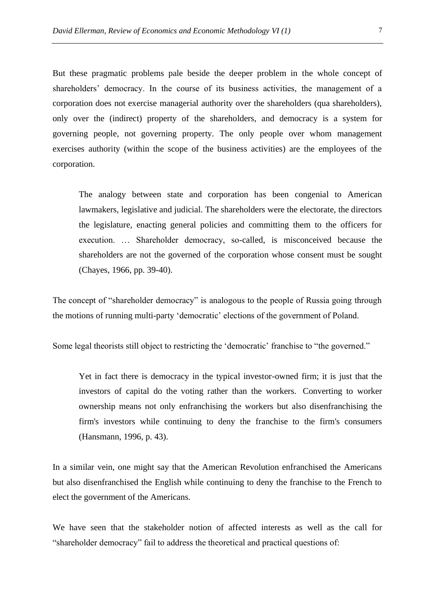But these pragmatic problems pale beside the deeper problem in the whole concept of shareholders' democracy. In the course of its business activities, the management of a corporation does not exercise managerial authority over the shareholders (qua shareholders), only over the (indirect) property of the shareholders, and democracy is a system for governing people, not governing property. The only people over whom management exercises authority (within the scope of the business activities) are the employees of the corporation.

The analogy between state and corporation has been congenial to American lawmakers, legislative and judicial. The shareholders were the electorate, the directors the legislature, enacting general policies and committing them to the officers for execution. … Shareholder democracy, so-called, is misconceived because the shareholders are not the governed of the corporation whose consent must be sought (Chayes, 1966, pp. 39-40).

The concept of "shareholder democracy" is analogous to the people of Russia going through the motions of running multi-party 'democratic' elections of the government of Poland.

Some legal theorists still object to restricting the 'democratic' franchise to "the governed."

Yet in fact there is democracy in the typical investor-owned firm; it is just that the investors of capital do the voting rather than the workers. Converting to worker ownership means not only enfranchising the workers but also disenfranchising the firm's investors while continuing to deny the franchise to the firm's consumers (Hansmann, 1996, p. 43).

In a similar vein, one might say that the American Revolution enfranchised the Americans but also disenfranchised the English while continuing to deny the franchise to the French to elect the government of the Americans.

We have seen that the stakeholder notion of affected interests as well as the call for "shareholder democracy" fail to address the theoretical and practical questions of: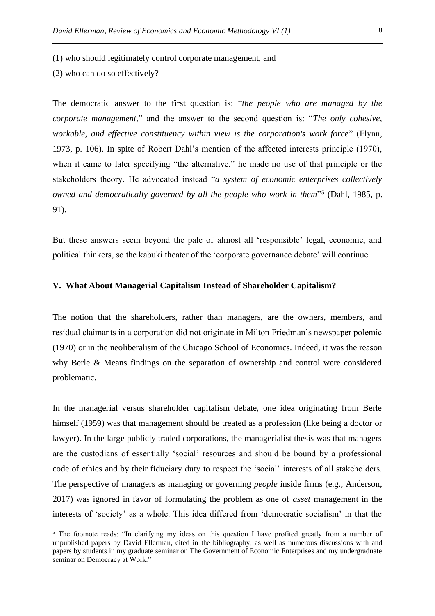- (1) who should legitimately control corporate management, and
- (2) who can do so effectively?

The democratic answer to the first question is: "*the people who are managed by the corporate management*," and the answer to the second question is: "*The only cohesive, workable, and effective constituency within view is the corporation's work force*" (Flynn, 1973, p. 106). In spite of Robert Dahl's mention of the affected interests principle (1970), when it came to later specifying "the alternative," he made no use of that principle or the stakeholders theory. He advocated instead "*a system of economic enterprises collectively owned and democratically governed by all the people who work in them*" 5 (Dahl, 1985, p. 91).

But these answers seem beyond the pale of almost all 'responsible' legal, economic, and political thinkers, so the kabuki theater of the 'corporate governance debate' will continue.

### **V. What About Managerial Capitalism Instead of Shareholder Capitalism?**

The notion that the shareholders, rather than managers, are the owners, members, and residual claimants in a corporation did not originate in Milton Friedman's newspaper polemic (1970) or in the neoliberalism of the Chicago School of Economics. Indeed, it was the reason why Berle & Means findings on the separation of ownership and control were considered problematic.

In the managerial versus shareholder capitalism debate, one idea originating from Berle himself (1959) was that management should be treated as a profession (like being a doctor or lawyer). In the large publicly traded corporations, the managerialist thesis was that managers are the custodians of essentially 'social' resources and should be bound by a professional code of ethics and by their fiduciary duty to respect the 'social' interests of all stakeholders. The perspective of managers as managing or governing *people* inside firms (e.g., Anderson, 2017) was ignored in favor of formulating the problem as one of *asset* management in the interests of 'society' as a whole. This idea differed from 'democratic socialism' in that the

<sup>&</sup>lt;sup>5</sup> The footnote reads: "In clarifying my ideas on this question I have profited greatly from a number of unpublished papers by David Ellerman, cited in the bibliography, as well as numerous discussions with and papers by students in my graduate seminar on The Government of Economic Enterprises and my undergraduate seminar on Democracy at Work."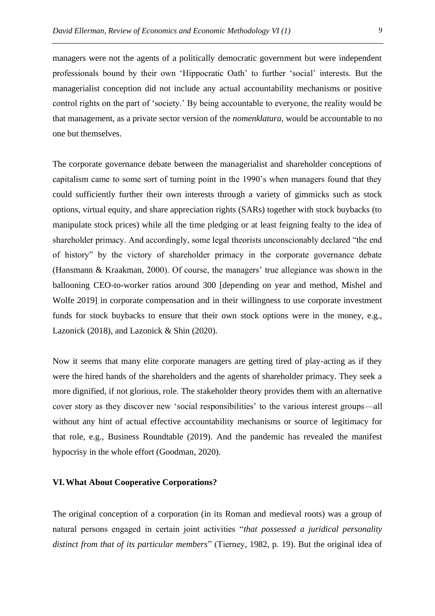managers were not the agents of a politically democratic government but were independent professionals bound by their own 'Hippocratic Oath' to further 'social' interests. But the managerialist conception did not include any actual accountability mechanisms or positive control rights on the part of 'society.' By being accountable to everyone, the reality would be that management, as a private sector version of the *nomenklatura*, would be accountable to no one but themselves.

The corporate governance debate between the managerialist and shareholder conceptions of capitalism came to some sort of turning point in the 1990's when managers found that they could sufficiently further their own interests through a variety of gimmicks such as stock options, virtual equity, and share appreciation rights (SARs) together with stock buybacks (to manipulate stock prices) while all the time pledging or at least feigning fealty to the idea of shareholder primacy. And accordingly, some legal theorists unconscionably declared "the end of history" by the victory of shareholder primacy in the corporate governance debate (Hansmann & Kraakman, 2000). Of course, the managers' true allegiance was shown in the ballooning CEO-to-worker ratios around 300 [depending on year and method, Mishel and Wolfe 2019] in corporate compensation and in their willingness to use corporate investment funds for stock buybacks to ensure that their own stock options were in the money, e.g., Lazonick (2018), and Lazonick & Shin (2020).

Now it seems that many elite corporate managers are getting tired of play-acting as if they were the hired hands of the shareholders and the agents of shareholder primacy. They seek a more dignified, if not glorious, role. The stakeholder theory provides them with an alternative cover story as they discover new 'social responsibilities' to the various interest groups—all without any hint of actual effective accountability mechanisms or source of legitimacy for that role, e.g., Business Roundtable (2019). And the pandemic has revealed the manifest hypocrisy in the whole effort (Goodman, 2020).

### **VI.What About Cooperative Corporations?**

The original conception of a corporation (in its Roman and medieval roots) was a group of natural persons engaged in certain joint activities "*that possessed a juridical personality distinct from that of its particular members*" (Tierney, 1982, p. 19). But the original idea of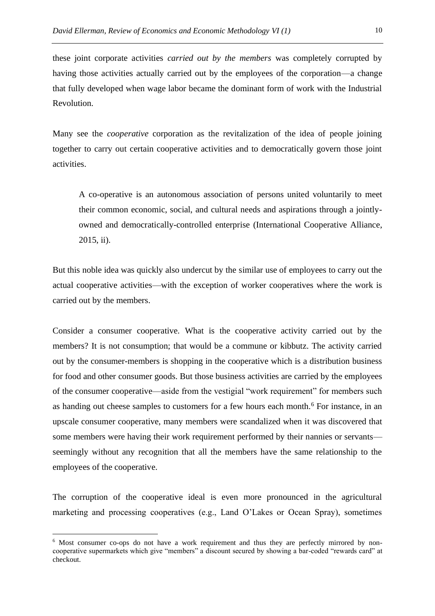these joint corporate activities *carried out by the members* was completely corrupted by having those activities actually carried out by the employees of the corporation—a change that fully developed when wage labor became the dominant form of work with the Industrial Revolution.

Many see the *cooperative* corporation as the revitalization of the idea of people joining together to carry out certain cooperative activities and to democratically govern those joint activities.

A co-operative is an autonomous association of persons united voluntarily to meet their common economic, social, and cultural needs and aspirations through a jointlyowned and democratically-controlled enterprise (International Cooperative Alliance, 2015, ii).

But this noble idea was quickly also undercut by the similar use of employees to carry out the actual cooperative activities—with the exception of worker cooperatives where the work is carried out by the members.

Consider a consumer cooperative. What is the cooperative activity carried out by the members? It is not consumption; that would be a commune or kibbutz. The activity carried out by the consumer-members is shopping in the cooperative which is a distribution business for food and other consumer goods. But those business activities are carried by the employees of the consumer cooperative—aside from the vestigial "work requirement" for members such as handing out cheese samples to customers for a few hours each month.<sup>6</sup> For instance, in an upscale consumer cooperative, many members were scandalized when it was discovered that some members were having their work requirement performed by their nannies or servants seemingly without any recognition that all the members have the same relationship to the employees of the cooperative.

The corruption of the cooperative ideal is even more pronounced in the agricultural marketing and processing cooperatives (e.g., Land O'Lakes or Ocean Spray), sometimes

<sup>&</sup>lt;sup>6</sup> Most consumer co-ops do not have a work requirement and thus they are perfectly mirrored by noncooperative supermarkets which give "members" a discount secured by showing a bar-coded "rewards card" at checkout.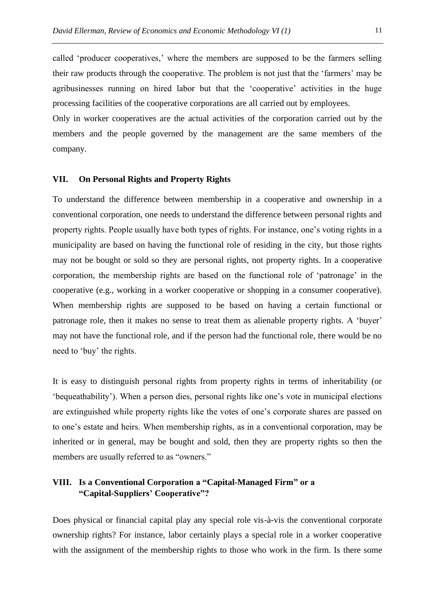called 'producer cooperatives,' where the members are supposed to be the farmers selling their raw products through the cooperative. The problem is not just that the 'farmers' may be agribusinesses running on hired labor but that the 'cooperative' activities in the huge processing facilities of the cooperative corporations are all carried out by employees.

Only in worker cooperatives are the actual activities of the corporation carried out by the members and the people governed by the management are the same members of the company.

### **VII. On Personal Rights and Property Rights**

To understand the difference between membership in a cooperative and ownership in a conventional corporation, one needs to understand the difference between personal rights and property rights. People usually have both types of rights. For instance, one's voting rights in a municipality are based on having the functional role of residing in the city, but those rights may not be bought or sold so they are personal rights, not property rights. In a cooperative corporation, the membership rights are based on the functional role of 'patronage' in the cooperative (e.g., working in a worker cooperative or shopping in a consumer cooperative). When membership rights are supposed to be based on having a certain functional or patronage role, then it makes no sense to treat them as alienable property rights. A 'buyer' may not have the functional role, and if the person had the functional role, there would be no need to 'buy' the rights.

It is easy to distinguish personal rights from property rights in terms of inheritability (or 'bequeathability'). When a person dies, personal rights like one's vote in municipal elections are extinguished while property rights like the votes of one's corporate shares are passed on to one's estate and heirs. When membership rights, as in a conventional corporation, may be inherited or in general, may be bought and sold, then they are property rights so then the members are usually referred to as "owners."

# **VIII. Is a Conventional Corporation a "Capital-Managed Firm" or a "Capital-Suppliers' Cooperative"?**

Does physical or financial capital play any special role vis-à-vis the conventional corporate ownership rights? For instance, labor certainly plays a special role in a worker cooperative with the assignment of the membership rights to those who work in the firm. Is there some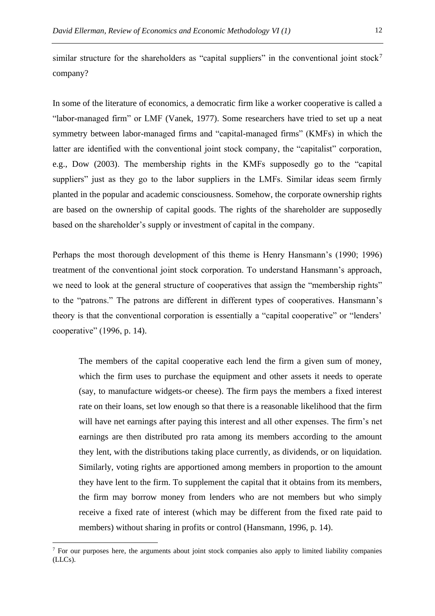similar structure for the shareholders as "capital suppliers" in the conventional joint stock<sup>7</sup> company?

In some of the literature of economics, a democratic firm like a worker cooperative is called a "labor-managed firm" or LMF (Vanek, 1977). Some researchers have tried to set up a neat symmetry between labor-managed firms and "capital-managed firms" (KMFs) in which the latter are identified with the conventional joint stock company, the "capitalist" corporation, e.g., Dow (2003). The membership rights in the KMFs supposedly go to the "capital suppliers" just as they go to the labor suppliers in the LMFs. Similar ideas seem firmly planted in the popular and academic consciousness. Somehow, the corporate ownership rights are based on the ownership of capital goods. The rights of the shareholder are supposedly based on the shareholder's supply or investment of capital in the company.

Perhaps the most thorough development of this theme is Henry Hansmann's (1990; 1996) treatment of the conventional joint stock corporation. To understand Hansmann's approach, we need to look at the general structure of cooperatives that assign the "membership rights" to the "patrons." The patrons are different in different types of cooperatives. Hansmann's theory is that the conventional corporation is essentially a "capital cooperative" or "lenders' cooperative" (1996, p. 14).

The members of the capital cooperative each lend the firm a given sum of money, which the firm uses to purchase the equipment and other assets it needs to operate (say, to manufacture widgets-or cheese). The firm pays the members a fixed interest rate on their loans, set low enough so that there is a reasonable likelihood that the firm will have net earnings after paying this interest and all other expenses. The firm's net earnings are then distributed pro rata among its members according to the amount they lent, with the distributions taking place currently, as dividends, or on liquidation. Similarly, voting rights are apportioned among members in proportion to the amount they have lent to the firm. To supplement the capital that it obtains from its members, the firm may borrow money from lenders who are not members but who simply receive a fixed rate of interest (which may be different from the fixed rate paid to members) without sharing in profits or control (Hansmann, 1996, p. 14).

<sup>&</sup>lt;sup>7</sup> For our purposes here, the arguments about joint stock companies also apply to limited liability companies  $(LLCs)$ .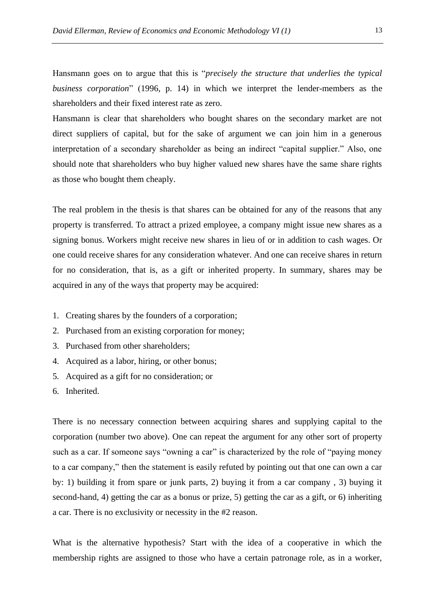Hansmann goes on to argue that this is "*precisely the structure that underlies the typical business corporation*" (1996, p. 14) in which we interpret the lender-members as the shareholders and their fixed interest rate as zero.

Hansmann is clear that shareholders who bought shares on the secondary market are not direct suppliers of capital, but for the sake of argument we can join him in a generous interpretation of a secondary shareholder as being an indirect "capital supplier." Also, one should note that shareholders who buy higher valued new shares have the same share rights as those who bought them cheaply.

The real problem in the thesis is that shares can be obtained for any of the reasons that any property is transferred. To attract a prized employee, a company might issue new shares as a signing bonus. Workers might receive new shares in lieu of or in addition to cash wages. Or one could receive shares for any consideration whatever. And one can receive shares in return for no consideration, that is, as a gift or inherited property. In summary, shares may be acquired in any of the ways that property may be acquired:

- 1. Creating shares by the founders of a corporation;
- 2. Purchased from an existing corporation for money;
- 3. Purchased from other shareholders;
- 4. Acquired as a labor, hiring, or other bonus;
- 5. Acquired as a gift for no consideration; or
- 6. Inherited.

There is no necessary connection between acquiring shares and supplying capital to the corporation (number two above). One can repeat the argument for any other sort of property such as a car. If someone says "owning a car" is characterized by the role of "paying money to a car company," then the statement is easily refuted by pointing out that one can own a car by: 1) building it from spare or junk parts, 2) buying it from a car company , 3) buying it second-hand, 4) getting the car as a bonus or prize, 5) getting the car as a gift, or 6) inheriting a car. There is no exclusivity or necessity in the #2 reason.

What is the alternative hypothesis? Start with the idea of a cooperative in which the membership rights are assigned to those who have a certain patronage role, as in a worker,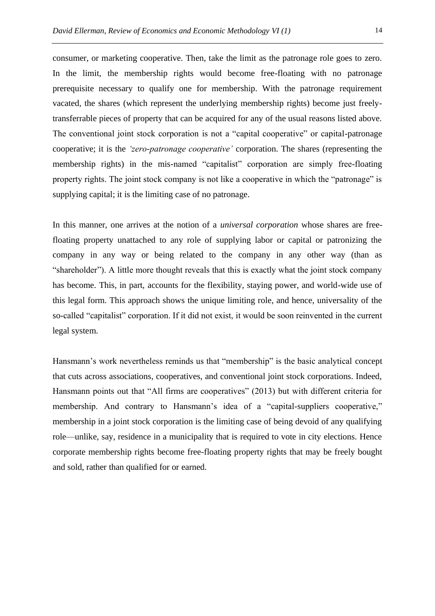consumer, or marketing cooperative. Then, take the limit as the patronage role goes to zero. In the limit, the membership rights would become free-floating with no patronage prerequisite necessary to qualify one for membership. With the patronage requirement vacated, the shares (which represent the underlying membership rights) become just freelytransferrable pieces of property that can be acquired for any of the usual reasons listed above. The conventional joint stock corporation is not a "capital cooperative" or capital-patronage cooperative; it is the *'zero-patronage cooperative'* corporation. The shares (representing the membership rights) in the mis-named "capitalist" corporation are simply free-floating property rights. The joint stock company is not like a cooperative in which the "patronage" is supplying capital; it is the limiting case of no patronage.

In this manner, one arrives at the notion of a *universal corporation* whose shares are freefloating property unattached to any role of supplying labor or capital or patronizing the company in any way or being related to the company in any other way (than as "shareholder"). A little more thought reveals that this is exactly what the joint stock company has become. This, in part, accounts for the flexibility, staying power, and world-wide use of this legal form. This approach shows the unique limiting role, and hence, universality of the so-called "capitalist" corporation. If it did not exist, it would be soon reinvented in the current legal system.

Hansmann's work nevertheless reminds us that "membership" is the basic analytical concept that cuts across associations, cooperatives, and conventional joint stock corporations. Indeed, Hansmann points out that "All firms are cooperatives" (2013) but with different criteria for membership. And contrary to Hansmann's idea of a "capital-suppliers cooperative," membership in a joint stock corporation is the limiting case of being devoid of any qualifying role—unlike, say, residence in a municipality that is required to vote in city elections. Hence corporate membership rights become free-floating property rights that may be freely bought and sold, rather than qualified for or earned.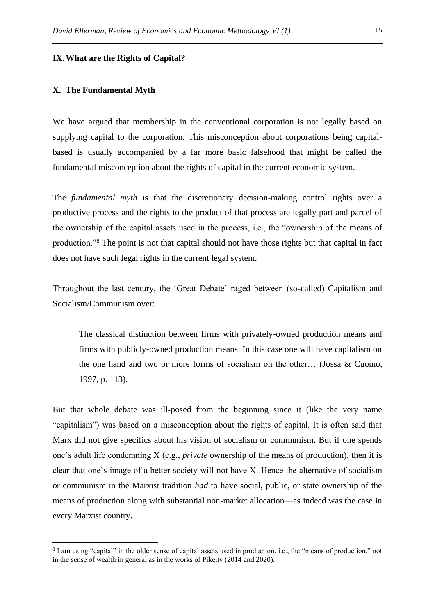#### **IX.What are the Rights of Capital?**

#### **X. The Fundamental Myth**

We have argued that membership in the conventional corporation is not legally based on supplying capital to the corporation. This misconception about corporations being capitalbased is usually accompanied by a far more basic falsehood that might be called the fundamental misconception about the rights of capital in the current economic system.

The *fundamental myth* is that the discretionary decision-making control rights over a productive process and the rights to the product of that process are legally part and parcel of the ownership of the capital assets used in the process, i.e., the "ownership of the means of production."<sup>8</sup> The point is not that capital should not have those rights but that capital in fact does not have such legal rights in the current legal system.

Throughout the last century, the 'Great Debate' raged between (so-called) Capitalism and Socialism/Communism over:

The classical distinction between firms with privately-owned production means and firms with publicly-owned production means. In this case one will have capitalism on the one hand and two or more forms of socialism on the other… (Jossa & Cuomo, 1997, p. 113).

But that whole debate was ill-posed from the beginning since it (like the very name "capitalism") was based on a misconception about the rights of capital. It is often said that Marx did not give specifics about his vision of socialism or communism. But if one spends one's adult life condemning X (e.g., *private* ownership of the means of production), then it is clear that one's image of a better society will not have X. Hence the alternative of socialism or communism in the Marxist tradition *had* to have social, public, or state ownership of the means of production along with substantial non-market allocation—as indeed was the case in every Marxist country.

<sup>&</sup>lt;sup>8</sup> I am using "capital" in the older sense of capital assets used in production, i.e., the "means of production," not in the sense of wealth in general as in the works of Piketty (2014 and 2020).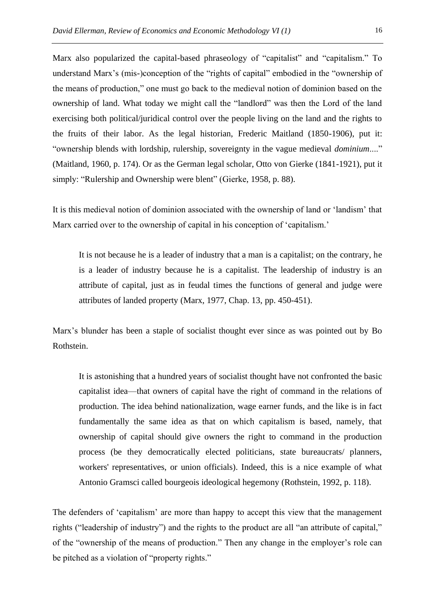Marx also popularized the capital-based phraseology of "capitalist" and "capitalism." To understand Marx's (mis-)conception of the "rights of capital" embodied in the "ownership of the means of production," one must go back to the medieval notion of dominion based on the ownership of land. What today we might call the "landlord" was then the Lord of the land exercising both political/juridical control over the people living on the land and the rights to the fruits of their labor. As the legal historian, Frederic Maitland (1850-1906), put it: "ownership blends with lordship, rulership, sovereignty in the vague medieval *dominium*...." (Maitland, 1960, p. 174). Or as the German legal scholar, Otto von Gierke (1841-1921), put it simply: "Rulership and Ownership were blent" (Gierke, 1958, p. 88).

It is this medieval notion of dominion associated with the ownership of land or 'landism' that Marx carried over to the ownership of capital in his conception of 'capitalism.'

It is not because he is a leader of industry that a man is a capitalist; on the contrary, he is a leader of industry because he is a capitalist. The leadership of industry is an attribute of capital, just as in feudal times the functions of general and judge were attributes of landed property (Marx, 1977, Chap. 13, pp. 450-451).

Marx's blunder has been a staple of socialist thought ever since as was pointed out by Bo Rothstein.

It is astonishing that a hundred years of socialist thought have not confronted the basic capitalist idea—that owners of capital have the right of command in the relations of production. The idea behind nationalization, wage earner funds, and the like is in fact fundamentally the same idea as that on which capitalism is based, namely, that ownership of capital should give owners the right to command in the production process (be they democratically elected politicians, state bureaucrats/ planners, workers' representatives, or union officials). Indeed, this is a nice example of what Antonio Gramsci called bourgeois ideological hegemony (Rothstein, 1992, p. 118).

The defenders of 'capitalism' are more than happy to accept this view that the management rights ("leadership of industry") and the rights to the product are all "an attribute of capital," of the "ownership of the means of production." Then any change in the employer's role can be pitched as a violation of "property rights."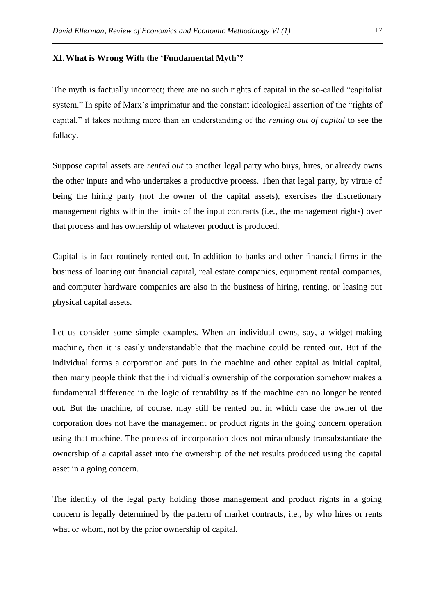#### **XI.What is Wrong With the 'Fundamental Myth'?**

The myth is factually incorrect; there are no such rights of capital in the so-called "capitalist system." In spite of Marx's imprimatur and the constant ideological assertion of the "rights of capital," it takes nothing more than an understanding of the *renting out of capital* to see the fallacy.

Suppose capital assets are *rented out* to another legal party who buys, hires, or already owns the other inputs and who undertakes a productive process. Then that legal party, by virtue of being the hiring party (not the owner of the capital assets), exercises the discretionary management rights within the limits of the input contracts (i.e., the management rights) over that process and has ownership of whatever product is produced.

Capital is in fact routinely rented out. In addition to banks and other financial firms in the business of loaning out financial capital, real estate companies, equipment rental companies, and computer hardware companies are also in the business of hiring, renting, or leasing out physical capital assets.

Let us consider some simple examples. When an individual owns, say, a widget-making machine, then it is easily understandable that the machine could be rented out. But if the individual forms a corporation and puts in the machine and other capital as initial capital, then many people think that the individual's ownership of the corporation somehow makes a fundamental difference in the logic of rentability as if the machine can no longer be rented out. But the machine, of course, may still be rented out in which case the owner of the corporation does not have the management or product rights in the going concern operation using that machine. The process of incorporation does not miraculously transubstantiate the ownership of a capital asset into the ownership of the net results produced using the capital asset in a going concern.

The identity of the legal party holding those management and product rights in a going concern is legally determined by the pattern of market contracts, i.e., by who hires or rents what or whom, not by the prior ownership of capital.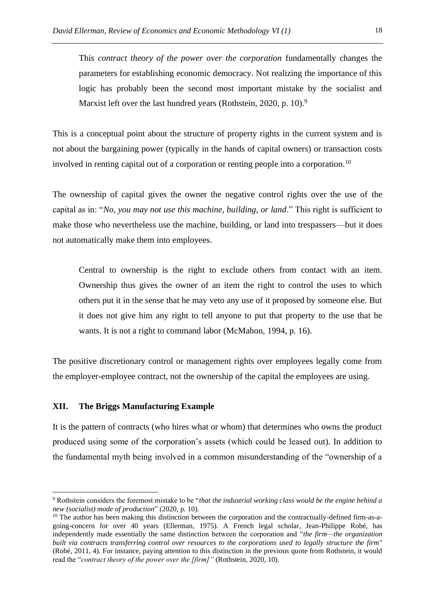This *contract theory of the power over the corporation* fundamentally changes the parameters for establishing economic democracy. Not realizing the importance of this logic has probably been the second most important mistake by the socialist and Marxist left over the last hundred years (Rothstein, 2020, p. 10).<sup>9</sup>

This is a conceptual point about the structure of property rights in the current system and is not about the bargaining power (typically in the hands of capital owners) or transaction costs involved in renting capital out of a corporation or renting people into a corporation.<sup>10</sup>

The ownership of capital gives the owner the negative control rights over the use of the capital as in: "*No, you may not use this machine, building, or land*." This right is sufficient to make those who nevertheless use the machine, building, or land into trespassers—but it does not automatically make them into employees.

Central to ownership is the right to exclude others from contact with an item. Ownership thus gives the owner of an item the right to control the uses to which others put it in the sense that he may veto any use of it proposed by someone else. But it does not give him any right to tell anyone to put that property to the use that he wants. It is not a right to command labor (McMahon, 1994, p. 16).

The positive discretionary control or management rights over employees legally come from the employer-employee contract, not the ownership of the capital the employees are using.

### **XII. The Briggs Manufacturing Example**

It is the pattern of contracts (who hires what or whom) that determines who owns the product produced using some of the corporation's assets (which could be leased out). In addition to the fundamental myth being involved in a common misunderstanding of the "ownership of a

<sup>9</sup> Rothstein considers the foremost mistake to be "*that the industrial working class would be the engine behind a new (socialist) mode of production*" (2020, p. 10).

<sup>&</sup>lt;sup>10</sup> The author has been making this distinction between the corporation and the contractually-defined firm-as-agoing-concern for over 40 years (Ellerman, 1975). A French legal scholar, Jean-Philippe Robé, has independently made essentially the same distinction between the corporation and "*the firm—the organization built via contracts transferring control over resources to the corporations used to legally structure the firm*" (Robé, 2011, 4). For instance, paying attention to this distinction in the previous quote from Rothstein, it would read the "*contract theory of the power over the [firm]"* (Rothstein, 2020, 10).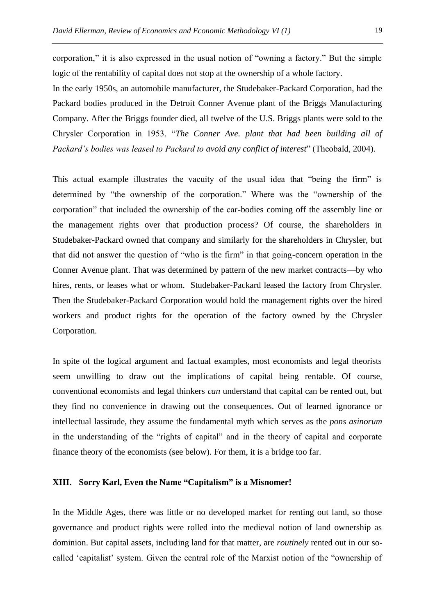corporation," it is also expressed in the usual notion of "owning a factory." But the simple logic of the rentability of capital does not stop at the ownership of a whole factory.

In the early 1950s, an automobile manufacturer, the Studebaker-Packard Corporation, had the Packard bodies produced in the Detroit Conner Avenue plant of the Briggs Manufacturing Company. After the Briggs founder died, all twelve of the U.S. Briggs plants were sold to the Chrysler Corporation in 1953. "*The Conner Ave. plant that had been building all of Packard's bodies was leased to Packard to avoid any conflict of interest*" (Theobald, 2004).

This actual example illustrates the vacuity of the usual idea that "being the firm" is determined by "the ownership of the corporation." Where was the "ownership of the corporation" that included the ownership of the car-bodies coming off the assembly line or the management rights over that production process? Of course, the shareholders in Studebaker-Packard owned that company and similarly for the shareholders in Chrysler, but that did not answer the question of "who is the firm" in that going-concern operation in the Conner Avenue plant. That was determined by pattern of the new market contracts—by who hires, rents, or leases what or whom. Studebaker-Packard leased the factory from Chrysler. Then the Studebaker-Packard Corporation would hold the management rights over the hired workers and product rights for the operation of the factory owned by the Chrysler Corporation.

In spite of the logical argument and factual examples, most economists and legal theorists seem unwilling to draw out the implications of capital being rentable. Of course, conventional economists and legal thinkers *can* understand that capital can be rented out, but they find no convenience in drawing out the consequences. Out of learned ignorance or intellectual lassitude, they assume the fundamental myth which serves as the *pons asinorum* in the understanding of the "rights of capital" and in the theory of capital and corporate finance theory of the economists (see below). For them, it is a bridge too far.

#### **XIII. Sorry Karl, Even the Name "Capitalism" is a Misnomer!**

In the Middle Ages, there was little or no developed market for renting out land, so those governance and product rights were rolled into the medieval notion of land ownership as dominion. But capital assets, including land for that matter, are *routinely* rented out in our socalled 'capitalist' system. Given the central role of the Marxist notion of the "ownership of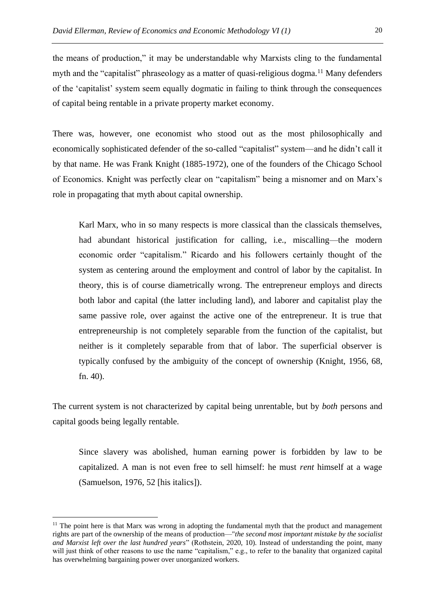the means of production," it may be understandable why Marxists cling to the fundamental myth and the "capitalist" phraseology as a matter of quasi-religious dogma.<sup>11</sup> Many defenders of the 'capitalist' system seem equally dogmatic in failing to think through the consequences of capital being rentable in a private property market economy.

There was, however, one economist who stood out as the most philosophically and economically sophisticated defender of the so-called "capitalist" system—and he didn't call it by that name. He was Frank Knight (1885-1972), one of the founders of the Chicago School of Economics. Knight was perfectly clear on "capitalism" being a misnomer and on Marx's role in propagating that myth about capital ownership.

Karl Marx, who in so many respects is more classical than the classicals themselves, had abundant historical justification for calling, i.e., miscalling—the modern economic order "capitalism." Ricardo and his followers certainly thought of the system as centering around the employment and control of labor by the capitalist. In theory, this is of course diametrically wrong. The entrepreneur employs and directs both labor and capital (the latter including land), and laborer and capitalist play the same passive role, over against the active one of the entrepreneur. It is true that entrepreneurship is not completely separable from the function of the capitalist, but neither is it completely separable from that of labor. The superficial observer is typically confused by the ambiguity of the concept of ownership (Knight, 1956, 68, fn. 40).

The current system is not characterized by capital being unrentable, but by *both* persons and capital goods being legally rentable.

Since slavery was abolished, human earning power is forbidden by law to be capitalized. A man is not even free to sell himself: he must *rent* himself at a wage (Samuelson, 1976, 52 [his italics]).

<sup>&</sup>lt;sup>11</sup> The point here is that Marx was wrong in adopting the fundamental myth that the product and management rights are part of the ownership of the means of production—"*the second most important mistake by the socialist and Marxist left over the last hundred years*" (Rothstein, 2020, 10). Instead of understanding the point, many will just think of other reasons to use the name "capitalism," e.g., to refer to the banality that organized capital has overwhelming bargaining power over unorganized workers.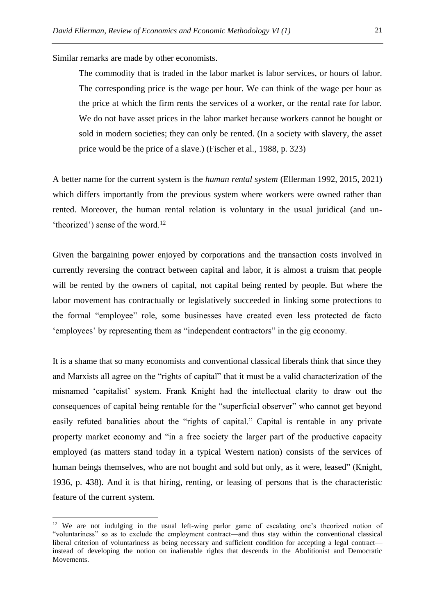Similar remarks are made by other economists.

The commodity that is traded in the labor market is labor services, or hours of labor. The corresponding price is the wage per hour. We can think of the wage per hour as the price at which the firm rents the services of a worker, or the rental rate for labor. We do not have asset prices in the labor market because workers cannot be bought or sold in modern societies; they can only be rented. (In a society with slavery, the asset price would be the price of a slave.) (Fischer et al., 1988, p. 323)

A better name for the current system is the *human rental system* (Ellerman 1992, 2015, 2021) which differs importantly from the previous system where workers were owned rather than rented. Moreover, the human rental relation is voluntary in the usual juridical (and un- 'theorized') sense of the word.<sup>12</sup>

Given the bargaining power enjoyed by corporations and the transaction costs involved in currently reversing the contract between capital and labor, it is almost a truism that people will be rented by the owners of capital, not capital being rented by people. But where the labor movement has contractually or legislatively succeeded in linking some protections to the formal "employee" role, some businesses have created even less protected de facto 'employees' by representing them as "independent contractors" in the gig economy.

It is a shame that so many economists and conventional classical liberals think that since they and Marxists all agree on the "rights of capital" that it must be a valid characterization of the misnamed 'capitalist' system. Frank Knight had the intellectual clarity to draw out the consequences of capital being rentable for the "superficial observer" who cannot get beyond easily refuted banalities about the "rights of capital." Capital is rentable in any private property market economy and "in a free society the larger part of the productive capacity employed (as matters stand today in a typical Western nation) consists of the services of human beings themselves, who are not bought and sold but only, as it were, leased" (Knight, 1936, p. 438). And it is that hiring, renting, or leasing of persons that is the characteristic feature of the current system.

<sup>&</sup>lt;sup>12</sup> We are not indulging in the usual left-wing parlor game of escalating one's theorized notion of "voluntariness" so as to exclude the employment contract—and thus stay within the conventional classical liberal criterion of voluntariness as being necessary and sufficient condition for accepting a legal contract instead of developing the notion on inalienable rights that descends in the Abolitionist and Democratic Movements.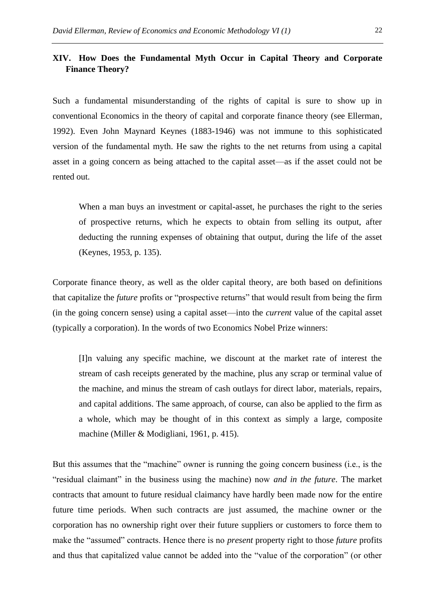# **XIV. How Does the Fundamental Myth Occur in Capital Theory and Corporate Finance Theory?**

Such a fundamental misunderstanding of the rights of capital is sure to show up in conventional Economics in the theory of capital and corporate finance theory (see Ellerman, 1992). Even John Maynard Keynes (1883-1946) was not immune to this sophisticated version of the fundamental myth. He saw the rights to the net returns from using a capital asset in a going concern as being attached to the capital asset—as if the asset could not be rented out.

When a man buys an investment or capital-asset, he purchases the right to the series of prospective returns, which he expects to obtain from selling its output, after deducting the running expenses of obtaining that output, during the life of the asset (Keynes, 1953, p. 135).

Corporate finance theory, as well as the older capital theory, are both based on definitions that capitalize the *future* profits or "prospective returns" that would result from being the firm (in the going concern sense) using a capital asset—into the *current* value of the capital asset (typically a corporation). In the words of two Economics Nobel Prize winners:

[I]n valuing any specific machine, we discount at the market rate of interest the stream of cash receipts generated by the machine, plus any scrap or terminal value of the machine, and minus the stream of cash outlays for direct labor, materials, repairs, and capital additions. The same approach, of course, can also be applied to the firm as a whole, which may be thought of in this context as simply a large, composite machine (Miller & Modigliani, 1961, p. 415).

But this assumes that the "machine" owner is running the going concern business (i.e., is the "residual claimant" in the business using the machine) now *and in the future*. The market contracts that amount to future residual claimancy have hardly been made now for the entire future time periods. When such contracts are just assumed, the machine owner or the corporation has no ownership right over their future suppliers or customers to force them to make the "assumed" contracts. Hence there is no *present* property right to those *future* profits and thus that capitalized value cannot be added into the "value of the corporation" (or other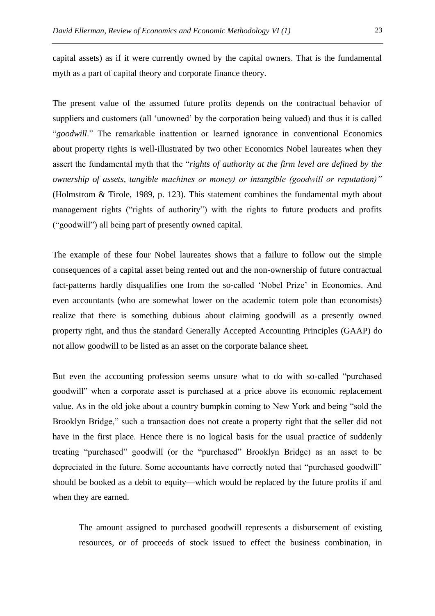capital assets) as if it were currently owned by the capital owners. That is the fundamental myth as a part of capital theory and corporate finance theory.

The present value of the assumed future profits depends on the contractual behavior of suppliers and customers (all 'unowned' by the corporation being valued) and thus it is called "*goodwill*." The remarkable inattention or learned ignorance in conventional Economics about property rights is well-illustrated by two other Economics Nobel laureates when they assert the fundamental myth that the "*rights of authority at the firm level are defined by the ownership of assets, tangible machines or money) or intangible (goodwill or reputation)"* (Holmstrom & Tirole, 1989, p. 123). This statement combines the fundamental myth about management rights ("rights of authority") with the rights to future products and profits ("goodwill") all being part of presently owned capital.

The example of these four Nobel laureates shows that a failure to follow out the simple consequences of a capital asset being rented out and the non-ownership of future contractual fact-patterns hardly disqualifies one from the so-called 'Nobel Prize' in Economics. And even accountants (who are somewhat lower on the academic totem pole than economists) realize that there is something dubious about claiming goodwill as a presently owned property right, and thus the standard Generally Accepted Accounting Principles (GAAP) do not allow goodwill to be listed as an asset on the corporate balance sheet.

But even the accounting profession seems unsure what to do with so-called "purchased goodwill" when a corporate asset is purchased at a price above its economic replacement value. As in the old joke about a country bumpkin coming to New York and being "sold the Brooklyn Bridge," such a transaction does not create a property right that the seller did not have in the first place. Hence there is no logical basis for the usual practice of suddenly treating "purchased" goodwill (or the "purchased" Brooklyn Bridge) as an asset to be depreciated in the future. Some accountants have correctly noted that "purchased goodwill" should be booked as a debit to equity—which would be replaced by the future profits if and when they are earned.

The amount assigned to purchased goodwill represents a disbursement of existing resources, or of proceeds of stock issued to effect the business combination, in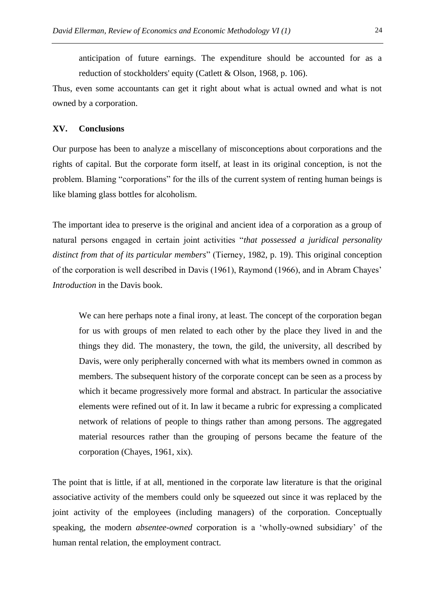anticipation of future earnings. The expenditure should be accounted for as a reduction of stockholders' equity (Catlett & Olson, 1968, p. 106).

Thus, even some accountants can get it right about what is actual owned and what is not owned by a corporation.

### **XV. Conclusions**

Our purpose has been to analyze a miscellany of misconceptions about corporations and the rights of capital. But the corporate form itself, at least in its original conception, is not the problem. Blaming "corporations" for the ills of the current system of renting human beings is like blaming glass bottles for alcoholism.

The important idea to preserve is the original and ancient idea of a corporation as a group of natural persons engaged in certain joint activities "*that possessed a juridical personality distinct from that of its particular members*" (Tierney, 1982, p. 19). This original conception of the corporation is well described in Davis (1961), Raymond (1966), and in Abram Chayes' *Introduction* in the Davis book.

We can here perhaps note a final irony, at least. The concept of the corporation began for us with groups of men related to each other by the place they lived in and the things they did. The monastery, the town, the gild, the university, all described by Davis, were only peripherally concerned with what its members owned in common as members. The subsequent history of the corporate concept can be seen as a process by which it became progressively more formal and abstract. In particular the associative elements were refined out of it. In law it became a rubric for expressing a complicated network of relations of people to things rather than among persons. The aggregated material resources rather than the grouping of persons became the feature of the corporation (Chayes, 1961, xix).

The point that is little, if at all, mentioned in the corporate law literature is that the original associative activity of the members could only be squeezed out since it was replaced by the joint activity of the employees (including managers) of the corporation. Conceptually speaking, the modern *absentee-owned* corporation is a 'wholly-owned subsidiary' of the human rental relation, the employment contract.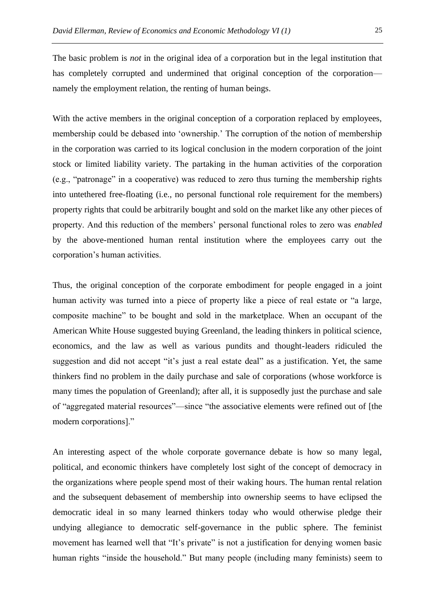The basic problem is *not* in the original idea of a corporation but in the legal institution that has completely corrupted and undermined that original conception of the corporation namely the employment relation, the renting of human beings.

With the active members in the original conception of a corporation replaced by employees, membership could be debased into 'ownership.' The corruption of the notion of membership in the corporation was carried to its logical conclusion in the modern corporation of the joint stock or limited liability variety. The partaking in the human activities of the corporation (e.g., "patronage" in a cooperative) was reduced to zero thus turning the membership rights into untethered free-floating (i.e., no personal functional role requirement for the members) property rights that could be arbitrarily bought and sold on the market like any other pieces of property. And this reduction of the members' personal functional roles to zero was *enabled* by the above-mentioned human rental institution where the employees carry out the corporation's human activities.

Thus, the original conception of the corporate embodiment for people engaged in a joint human activity was turned into a piece of property like a piece of real estate or "a large, composite machine" to be bought and sold in the marketplace. When an occupant of the American White House suggested buying Greenland, the leading thinkers in political science, economics, and the law as well as various pundits and thought-leaders ridiculed the suggestion and did not accept "it's just a real estate deal" as a justification. Yet, the same thinkers find no problem in the daily purchase and sale of corporations (whose workforce is many times the population of Greenland); after all, it is supposedly just the purchase and sale of "aggregated material resources"—since "the associative elements were refined out of [the modern corporations]."

An interesting aspect of the whole corporate governance debate is how so many legal, political, and economic thinkers have completely lost sight of the concept of democracy in the organizations where people spend most of their waking hours. The human rental relation and the subsequent debasement of membership into ownership seems to have eclipsed the democratic ideal in so many learned thinkers today who would otherwise pledge their undying allegiance to democratic self-governance in the public sphere. The feminist movement has learned well that "It's private" is not a justification for denying women basic human rights "inside the household." But many people (including many feminists) seem to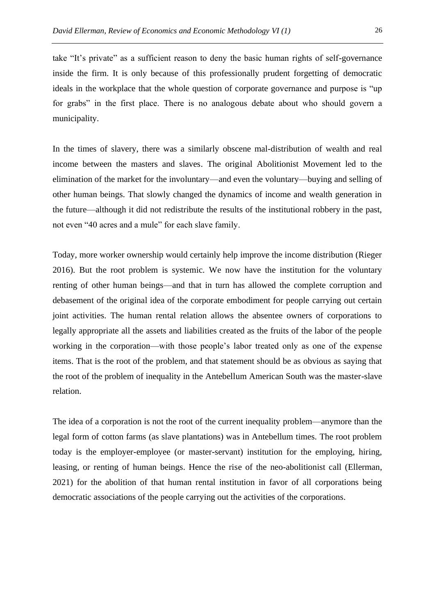take "It's private" as a sufficient reason to deny the basic human rights of self-governance inside the firm. It is only because of this professionally prudent forgetting of democratic ideals in the workplace that the whole question of corporate governance and purpose is "up for grabs" in the first place. There is no analogous debate about who should govern a municipality.

In the times of slavery, there was a similarly obscene mal-distribution of wealth and real income between the masters and slaves. The original Abolitionist Movement led to the elimination of the market for the involuntary—and even the voluntary—buying and selling of other human beings. That slowly changed the dynamics of income and wealth generation in the future—although it did not redistribute the results of the institutional robbery in the past, not even "40 acres and a mule" for each slave family.

Today, more worker ownership would certainly help improve the income distribution (Rieger 2016). But the root problem is systemic. We now have the institution for the voluntary renting of other human beings—and that in turn has allowed the complete corruption and debasement of the original idea of the corporate embodiment for people carrying out certain joint activities. The human rental relation allows the absentee owners of corporations to legally appropriate all the assets and liabilities created as the fruits of the labor of the people working in the corporation—with those people's labor treated only as one of the expense items. That is the root of the problem, and that statement should be as obvious as saying that the root of the problem of inequality in the Antebellum American South was the master-slave relation.

The idea of a corporation is not the root of the current inequality problem—anymore than the legal form of cotton farms (as slave plantations) was in Antebellum times. The root problem today is the employer-employee (or master-servant) institution for the employing, hiring, leasing, or renting of human beings. Hence the rise of the neo-abolitionist call (Ellerman, 2021) for the abolition of that human rental institution in favor of all corporations being democratic associations of the people carrying out the activities of the corporations.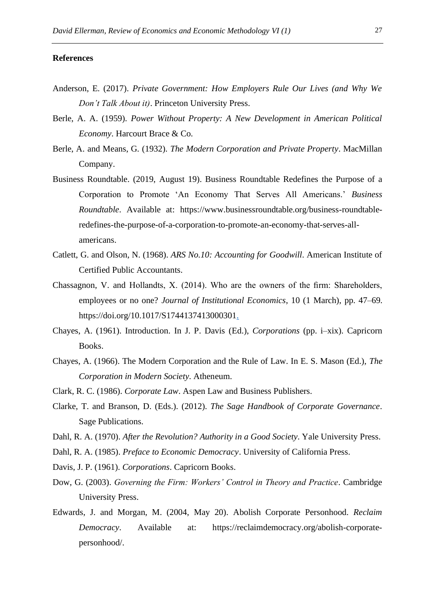#### **References**

- Anderson, E. (2017). *Private Government: How Employers Rule Our Lives (and Why We Don't Talk About it)*. Princeton University Press.
- Berle, A. A. (1959). *Power Without Property: A New Development in American Political Economy*. Harcourt Brace & Co.
- Berle, A. and Means, G. (1932). *The Modern Corporation and Private Property*. MacMillan Company.
- Business Roundtable. (2019, August 19). Business Roundtable Redefines the Purpose of a Corporation to Promote 'An Economy That Serves All Americans.' *Business Roundtable*. Available at: https://www.businessroundtable.org/business-roundtableredefines-the-purpose-of-a-corporation-to-promote-an-economy-that-serves-allamericans.
- Catlett, G. and Olson, N. (1968). *ARS No.10: Accounting for Goodwill*. American Institute of Certified Public Accountants.
- Chassagnon, V. and Hollandts, X. (2014). Who are the owners of the firm: Shareholders, employees or no one? *Journal of Institutional Economics*, 10 (1 March), pp. 47–69. https://doi.org/10.1017/S1744137413000301.
- Chayes, A. (1961). Introduction. In J. P. Davis (Ed.), *Corporations* (pp. i–xix). Capricorn Books.
- Chayes, A. (1966). The Modern Corporation and the Rule of Law. In E. S. Mason (Ed.), *The Corporation in Modern Society*. Atheneum.
- Clark, R. C. (1986). *Corporate Law*. Aspen Law and Business Publishers.
- Clarke, T. and Branson, D. (Eds.). (2012). *The Sage Handbook of Corporate Governance*. Sage Publications.
- Dahl, R. A. (1970). *After the Revolution? Authority in a Good Society*. Yale University Press.
- Dahl, R. A. (1985). *Preface to Economic Democracy*. University of California Press.
- Davis, J. P. (1961). *Corporations*. Capricorn Books.
- Dow, G. (2003). *Governing the Firm: Workers' Control in Theory and Practice*. Cambridge University Press.
- Edwards, J. and Morgan, M. (2004, May 20). Abolish Corporate Personhood. *Reclaim Democracy*. Available at: https://reclaimdemocracy.org/abolish-corporatepersonhood/.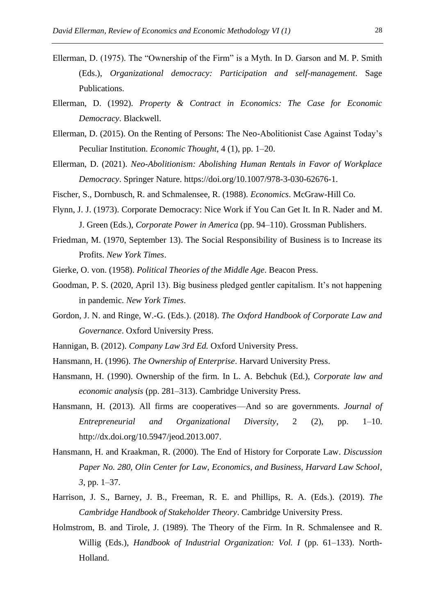- Ellerman, D. (1975). The "Ownership of the Firm" is a Myth. In D. Garson and M. P. Smith (Eds.), *Organizational democracy: Participation and self-management*. Sage Publications.
- Ellerman, D. (1992). *Property & Contract in Economics: The Case for Economic Democracy*. Blackwell.
- Ellerman, D. (2015). On the Renting of Persons: The Neo-Abolitionist Case Against Today's Peculiar Institution. *Economic Thought*, 4 (1), pp. 1–20.
- Ellerman, D. (2021). *Neo-Abolitionism: Abolishing Human Rentals in Favor of Workplace Democracy*. Springer Nature. https://doi.org/10.1007/978-3-030-62676-1.
- Fischer, S., Dornbusch, R. and Schmalensee, R. (1988). *Economics*. McGraw-Hill Co.
- Flynn, J. J. (1973). Corporate Democracy: Nice Work if You Can Get It. In R. Nader and M. J. Green (Eds.), *Corporate Power in America* (pp. 94–110). Grossman Publishers.
- Friedman, M. (1970, September 13). The Social Responsibility of Business is to Increase its Profits. *New York Times*.
- Gierke, O. von. (1958). *Political Theories of the Middle Age*. Beacon Press.
- Goodman, P. S. (2020, April 13). Big business pledged gentler capitalism. It's not happening in pandemic. *New York Times*.
- Gordon, J. N. and Ringe, W.-G. (Eds.). (2018). *The Oxford Handbook of Corporate Law and Governance*. Oxford University Press.
- Hannigan, B. (2012). *Company Law 3rd Ed.* Oxford University Press.
- Hansmann, H. (1996). *The Ownership of Enterprise*. Harvard University Press.
- Hansmann, H. (1990). Ownership of the firm. In L. A. Bebchuk (Ed.), *Corporate law and economic analysis* (pp. 281–313). Cambridge University Press.
- Hansmann, H. (2013). All firms are cooperatives—And so are governments. *Journal of Entrepreneurial and Organizational Diversity*, 2 (2), pp. 1–10. http://dx.doi.org/10.5947/jeod.2013.007.
- Hansmann, H. and Kraakman, R. (2000). The End of History for Corporate Law. *Discussion Paper No. 280, Olin Center for Law, Economics, and Business, Harvard Law School*, *3*, pp. 1–37.
- Harrison, J. S., Barney, J. B., Freeman, R. E. and Phillips, R. A. (Eds.). (2019). *The Cambridge Handbook of Stakeholder Theory*. Cambridge University Press.
- Holmstrom, B. and Tirole, J. (1989). The Theory of the Firm. In R. Schmalensee and R. Willig (Eds.), *Handbook of Industrial Organization: Vol. I* (pp. 61–133). North-Holland.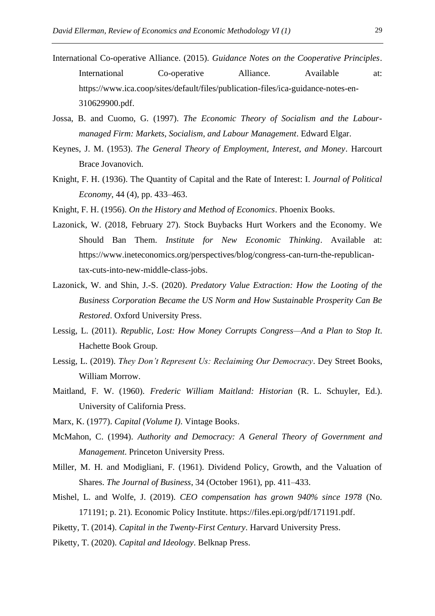- International Co-operative Alliance. (2015). *Guidance Notes on the Cooperative Principles*. International Co-operative Alliance. Available at: https://www.ica.coop/sites/default/files/publication-files/ica-guidance-notes-en-310629900.pdf.
- Jossa, B. and Cuomo, G. (1997). *The Economic Theory of Socialism and the Labourmanaged Firm: Markets, Socialism, and Labour Management*. Edward Elgar.
- Keynes, J. M. (1953). *The General Theory of Employment, Interest, and Money*. Harcourt Brace Jovanovich.
- Knight, F. H. (1936). The Quantity of Capital and the Rate of Interest: I. *Journal of Political Economy*, 44 (4), pp. 433–463.
- Knight, F. H. (1956). *On the History and Method of Economics*. Phoenix Books.
- Lazonick, W. (2018, February 27). Stock Buybacks Hurt Workers and the Economy. We Should Ban Them. *Institute for New Economic Thinking*. Available at: https://www.ineteconomics.org/perspectives/blog/congress-can-turn-the-republicantax-cuts-into-new-middle-class-jobs.
- Lazonick, W. and Shin, J.-S. (2020). *Predatory Value Extraction: How the Looting of the Business Corporation Became the US Norm and How Sustainable Prosperity Can Be Restored*. Oxford University Press.
- Lessig, L. (2011). *Republic, Lost: How Money Corrupts Congress—And a Plan to Stop It*. Hachette Book Group.
- Lessig, L. (2019). *They Don't Represent Us: Reclaiming Our Democracy*. Dey Street Books, William Morrow.
- Maitland, F. W. (1960). *Frederic William Maitland: Historian* (R. L. Schuyler, Ed.). University of California Press.
- Marx, K. (1977). *Capital (Volume I)*. Vintage Books.
- McMahon, C. (1994). *Authority and Democracy: A General Theory of Government and Management*. Princeton University Press.
- Miller, M. H. and Modigliani, F. (1961). Dividend Policy, Growth, and the Valuation of Shares. *The Journal of Business*, 34 (October 1961), pp. 411–433.
- Mishel, L. and Wolfe, J. (2019). *CEO compensation has grown 940% since 1978* (No. 171191; p. 21). Economic Policy Institute. https://files.epi.org/pdf/171191.pdf.
- Piketty, T. (2014). *Capital in the Twenty-First Century*. Harvard University Press.
- Piketty, T. (2020). *Capital and Ideology*. Belknap Press.